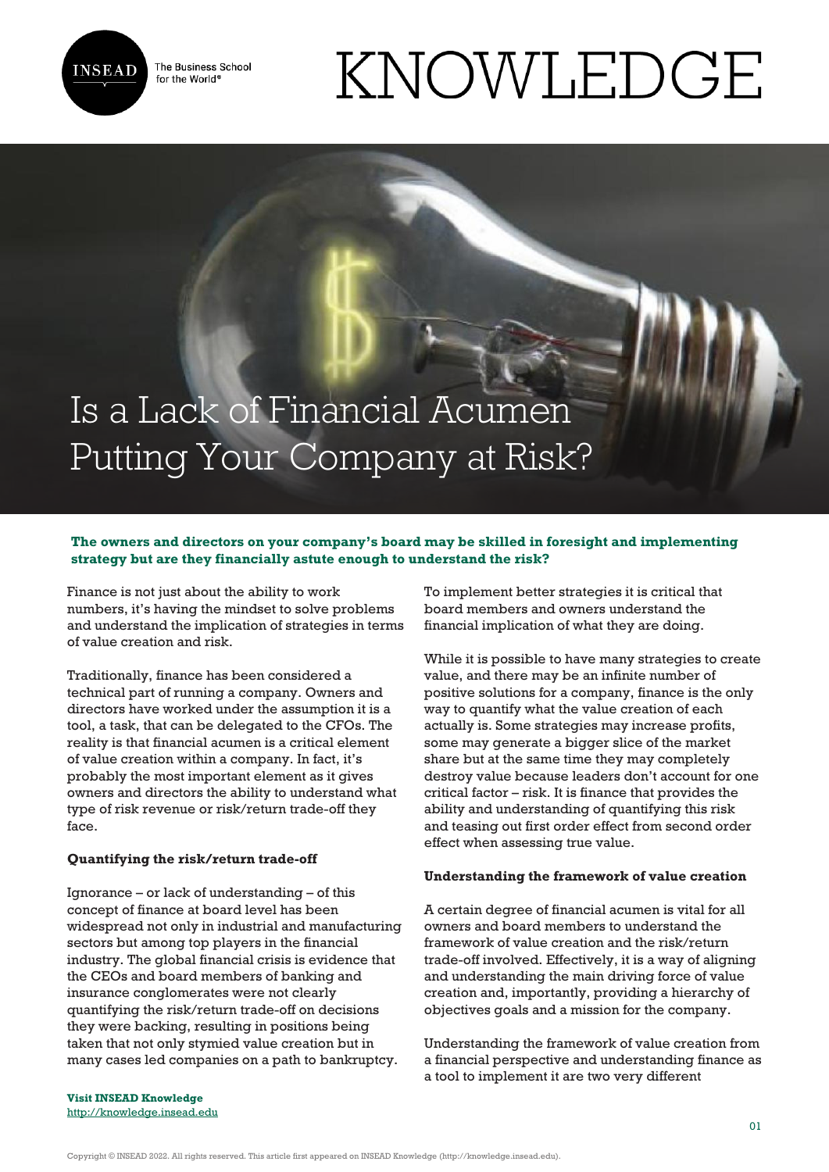

The Business School for the World<sup>®</sup>

# KNOWLEDGE

# Is a Lack of Financial Acumen Putting Your Company at Risk?

## **The owners and directors on your company's board may be skilled in foresight and implementing strategy but are they financially astute enough to understand the risk?**

Finance is not just about the ability to work numbers, it's having the mindset to solve problems and understand the implication of strategies in terms of value creation and risk.

Traditionally, finance has been considered a technical part of running a company. Owners and directors have worked under the assumption it is a tool, a task, that can be delegated to the CFOs. The reality is that financial acumen is a critical element of value creation within a company. In fact, it's probably the most important element as it gives owners and directors the ability to understand what type of risk revenue or risk/return trade-off they face.

### **Quantifying the risk/return trade-off**

Ignorance – or lack of understanding – of this concept of finance at board level has been widespread not only in industrial and manufacturing sectors but among top players in the financial industry. The global financial crisis is evidence that the CEOs and board members of banking and insurance conglomerates were not clearly quantifying the risk/return trade-off on decisions they were backing, resulting in positions being taken that not only stymied value creation but in many cases led companies on a path to bankruptcy.

To implement better strategies it is critical that board members and owners understand the financial implication of what they are doing.

While it is possible to have many strategies to create value, and there may be an infinite number of positive solutions for a company, finance is the only way to quantify what the value creation of each actually is. Some strategies may increase profits, some may generate a bigger slice of the market share but at the same time they may completely destroy value because leaders don't account for one critical factor – risk. It is finance that provides the ability and understanding of quantifying this risk and teasing out first order effect from second order effect when assessing true value.

### **Understanding the framework of value creation**

A certain degree of financial acumen is vital for all owners and board members to understand the framework of value creation and the risk/return trade-off involved. Effectively, it is a way of aligning and understanding the main driving force of value creation and, importantly, providing a hierarchy of objectives goals and a mission for the company.

Understanding the framework of value creation from a financial perspective and understanding finance as a tool to implement it are two very different

**Visit INSEAD Knowledge** <http://knowledge.insead.edu>

Copyright © INSEAD 2022. All rights reserved. This article first appeared on INSEAD Knowledge (http://knowledge.insead.edu).